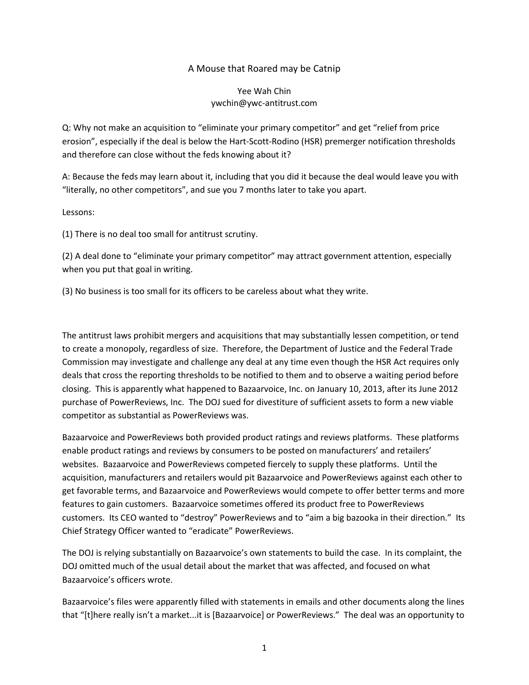## A Mouse that Roared may be Catnip

## Yee Wah Chin ywchin@ywc-antitrust.com

Q: Why not make an acquisition to "eliminate your primary competitor" and get "relief from price erosion", especially if the deal is below the Hart-Scott-Rodino (HSR) premerger notification thresholds and therefore can close without the feds knowing about it?

A: Because the feds may learn about it, including that you did it because the deal would leave you with "literally, no other competitors", and sue you 7 months later to take you apart.

Lessons:

(1) There is no deal too small for antitrust scrutiny.

(2) A deal done to "eliminate your primary competitor" may attract government attention, especially when you put that goal in writing.

(3) No business is too small for its officers to be careless about what they write.

The antitrust laws prohibit mergers and acquisitions that may substantially lessen competition, or tend to create a monopoly, regardless of size. Therefore, the Department of Justice and the Federal Trade Commission may investigate and challenge any deal at any time even though the HSR Act requires only deals that cross the reporting thresholds to be notified to them and to observe a waiting period before closing. This is apparently what happened to Bazaarvoice, Inc. on January 10, 2013, after its June 2012 purchase of PowerReviews, Inc. The DOJ sued for divestiture of sufficient assets to form a new viable competitor as substantial as PowerReviews was.

Bazaarvoice and PowerReviews both provided product ratings and reviews platforms. These platforms enable product ratings and reviews by consumers to be posted on manufacturers' and retailers' websites. Bazaarvoice and PowerReviews competed fiercely to supply these platforms. Until the acquisition, manufacturers and retailers would pit Bazaarvoice and PowerReviews against each other to get favorable terms, and Bazaarvoice and PowerReviews would compete to offer better terms and more features to gain customers. Bazaarvoice sometimes offered its product free to PowerReviews customers. Its CEO wanted to "destroy" PowerReviews and to "aim a big bazooka in their direction." Its Chief Strategy Officer wanted to "eradicate" PowerReviews.

The DOJ is relying substantially on Bazaarvoice's own statements to build the case. In its complaint, the DOJ omitted much of the usual detail about the market that was affected, and focused on what Bazaarvoice's officers wrote.

Bazaarvoice's files were apparently filled with statements in emails and other documents along the lines that "[t]here really isn't a market...it is [Bazaarvoice] or PowerReviews." The deal was an opportunity to